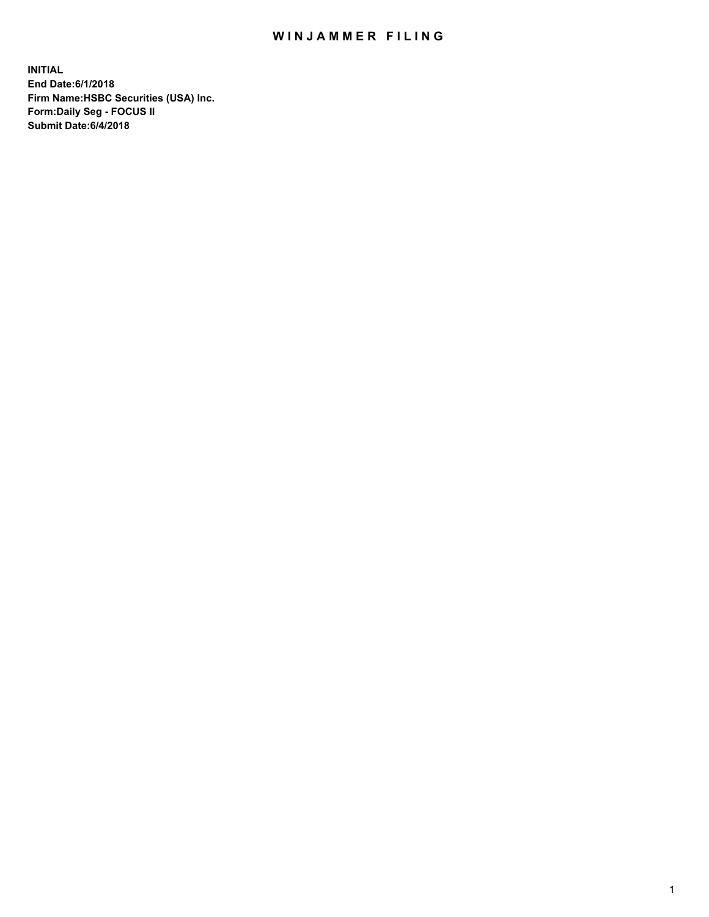## WIN JAMMER FILING

**INITIAL End Date:6/1/2018 Firm Name:HSBC Securities (USA) Inc. Form:Daily Seg - FOCUS II Submit Date:6/4/2018**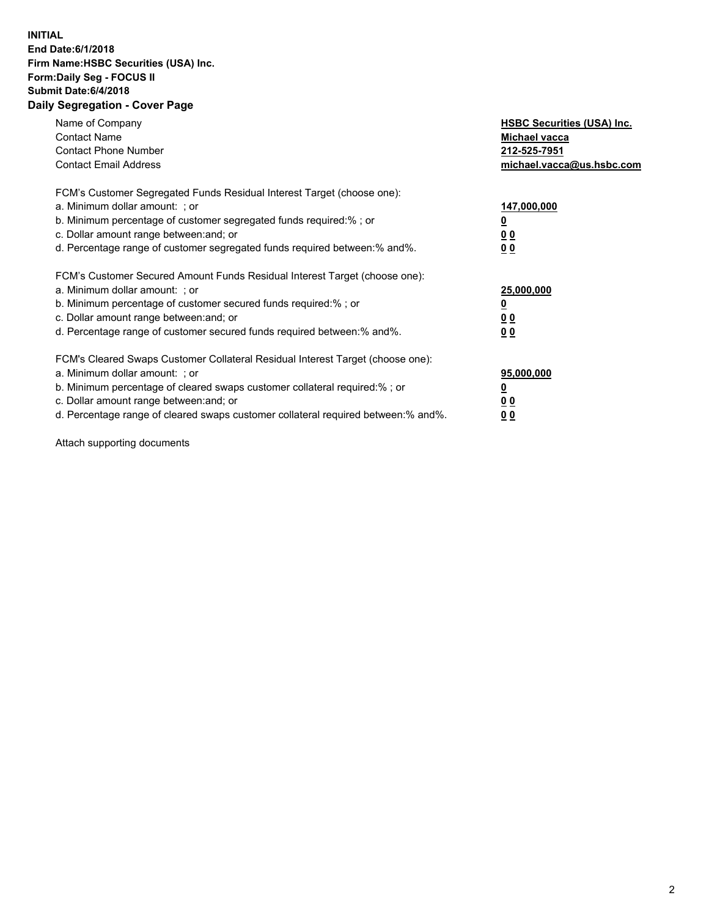## **INITIAL End Date:6/1/2018 Firm Name:HSBC Securities (USA) Inc. Form:Daily Seg - FOCUS II Submit Date:6/4/2018 Daily Segregation - Cover Page**

| Name of Company<br><b>Contact Name</b><br><b>Contact Phone Number</b><br><b>Contact Email Address</b>                                                                                                                                                                                                                          | <b>HSBC Securities (USA) Inc.</b><br>Michael vacca<br>212-525-7951<br>michael.vacca@us.hsbc.com |
|--------------------------------------------------------------------------------------------------------------------------------------------------------------------------------------------------------------------------------------------------------------------------------------------------------------------------------|-------------------------------------------------------------------------------------------------|
| FCM's Customer Segregated Funds Residual Interest Target (choose one):<br>a. Minimum dollar amount: ; or<br>b. Minimum percentage of customer segregated funds required:%; or<br>c. Dollar amount range between: and; or<br>d. Percentage range of customer segregated funds required between:% and%.                          | 147,000,000<br><u>0</u><br><u>00</u><br>00                                                      |
| FCM's Customer Secured Amount Funds Residual Interest Target (choose one):<br>a. Minimum dollar amount: ; or<br>b. Minimum percentage of customer secured funds required:%; or<br>c. Dollar amount range between: and; or<br>d. Percentage range of customer secured funds required between:% and%.                            | 25,000,000<br><u>0</u><br><u>00</u><br>00                                                       |
| FCM's Cleared Swaps Customer Collateral Residual Interest Target (choose one):<br>a. Minimum dollar amount: ; or<br>b. Minimum percentage of cleared swaps customer collateral required:% ; or<br>c. Dollar amount range between: and; or<br>d. Percentage range of cleared swaps customer collateral required between:% and%. | 95,000,000<br><u>0</u><br><u>00</u><br>0 <sub>0</sub>                                           |

Attach supporting documents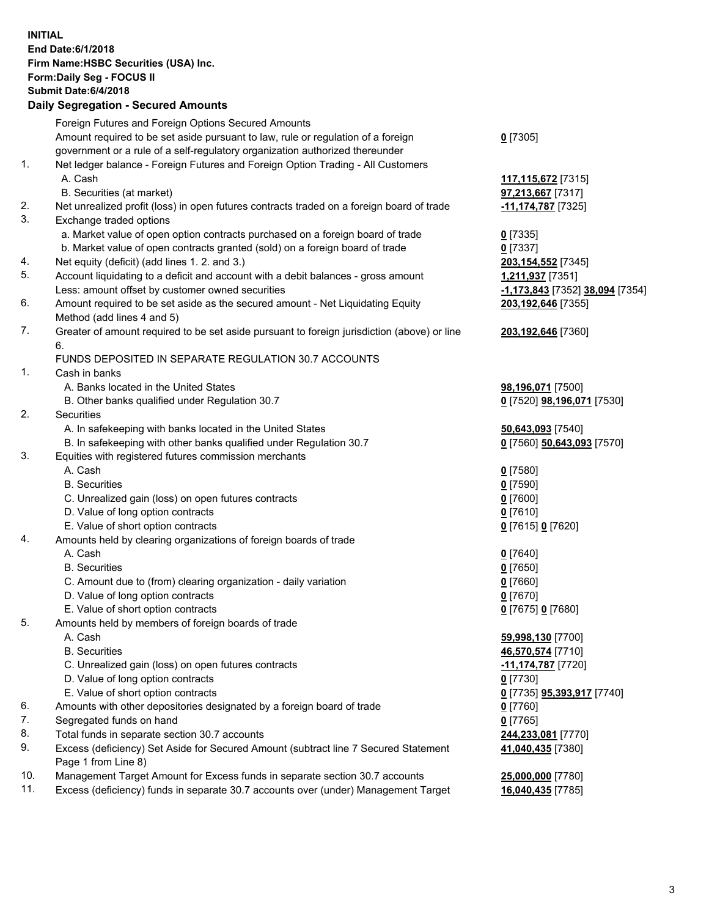**INITIAL End Date:6/1/2018 Firm Name:HSBC Securities (USA) Inc. Form:Daily Seg - FOCUS II Submit Date:6/4/2018 Daily Segregation - Secured Amounts** Foreign Futures and Foreign Options Secured Amounts Amount required to be set aside pursuant to law, rule or regulation of a foreign government or a rule of a self-regulatory organization authorized thereunder **0** [7305] 1. Net ledger balance - Foreign Futures and Foreign Option Trading - All Customers A. Cash **117,115,672** [7315] B. Securities (at market) **97,213,667** [7317] 2. Net unrealized profit (loss) in open futures contracts traded on a foreign board of trade **-11,174,787** [7325] 3. Exchange traded options a. Market value of open option contracts purchased on a foreign board of trade **0** [7335] b. Market value of open contracts granted (sold) on a foreign board of trade **0** [7337] 4. Net equity (deficit) (add lines 1. 2. and 3.) **203,154,552** [7345] 5. Account liquidating to a deficit and account with a debit balances - gross amount **1,211,937** [7351] Less: amount offset by customer owned securities **-1,173,843** [7352] **38,094** [7354] 6. Amount required to be set aside as the secured amount - Net Liquidating Equity Method (add lines 4 and 5) **203,192,646** [7355] 7. Greater of amount required to be set aside pursuant to foreign jurisdiction (above) or line 6. **203,192,646** [7360] FUNDS DEPOSITED IN SEPARATE REGULATION 30.7 ACCOUNTS 1. Cash in banks A. Banks located in the United States **98,196,071** [7500] B. Other banks qualified under Regulation 30.7 **0** [7520] **98,196,071** [7530] 2. Securities A. In safekeeping with banks located in the United States **50,643,093** [7540] B. In safekeeping with other banks qualified under Regulation 30.7 **0** [7560] **50,643,093** [7570] 3. Equities with registered futures commission merchants A. Cash **0** [7580] B. Securities **0** [7590] C. Unrealized gain (loss) on open futures contracts **0** [7600] D. Value of long option contracts **0** [7610] E. Value of short option contracts **0** [7615] **0** [7620] 4. Amounts held by clearing organizations of foreign boards of trade A. Cash **0** [7640] B. Securities **0** [7650] C. Amount due to (from) clearing organization - daily variation **0** [7660] D. Value of long option contracts **0** [7670] E. Value of short option contracts **0** [7675] **0** [7680] 5. Amounts held by members of foreign boards of trade A. Cash **59,998,130** [7700] B. Securities **46,570,574** [7710] C. Unrealized gain (loss) on open futures contracts **-11,174,787** [7720] D. Value of long option contracts **0** [7730] E. Value of short option contracts **0** [7735] **95,393,917** [7740] 6. Amounts with other depositories designated by a foreign board of trade **0** [7760] 7. Segregated funds on hand **0** [7765] 8. Total funds in separate section 30.7 accounts **244,233,081** [7770] 9. Excess (deficiency) Set Aside for Secured Amount (subtract line 7 Secured Statement Page 1 from Line 8) **41,040,435** [7380] 10. Management Target Amount for Excess funds in separate section 30.7 accounts **25,000,000** [7780] 11. Excess (deficiency) funds in separate 30.7 accounts over (under) Management Target **16,040,435** [7785]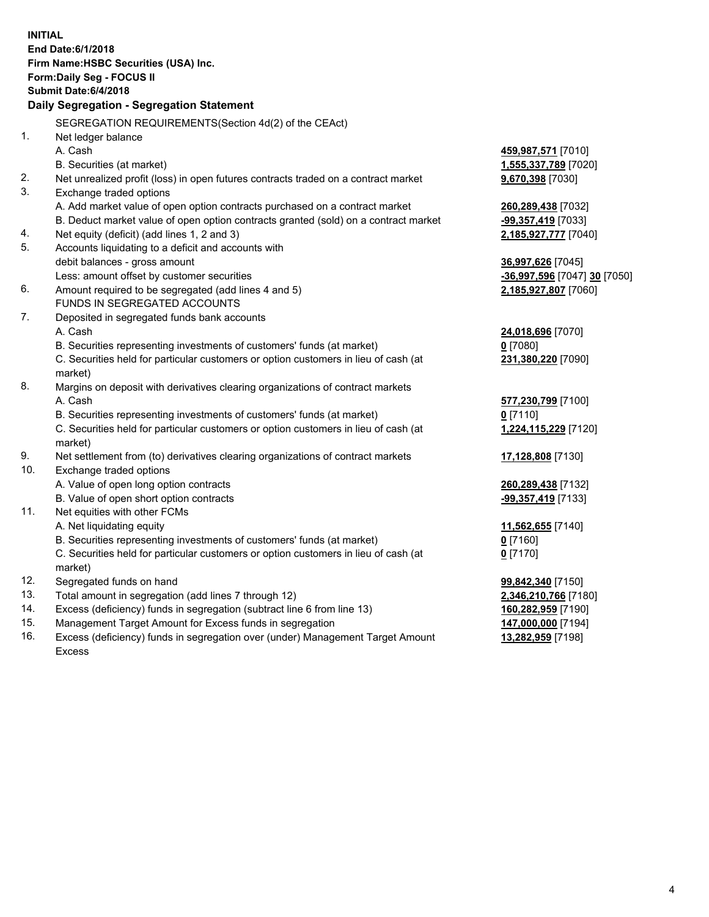| <b>INITIAL</b> | End Date: 6/1/2018<br>Firm Name: HSBC Securities (USA) Inc.<br>Form: Daily Seg - FOCUS II<br>Submit Date: 6/4/2018 |                              |
|----------------|--------------------------------------------------------------------------------------------------------------------|------------------------------|
|                | Daily Segregation - Segregation Statement                                                                          |                              |
|                | SEGREGATION REQUIREMENTS(Section 4d(2) of the CEAct)                                                               |                              |
| 1.             | Net ledger balance                                                                                                 |                              |
|                | A. Cash                                                                                                            | 459,987,571 [7010]           |
|                | B. Securities (at market)                                                                                          | 1,555,337,789 [7020]         |
| 2.             | Net unrealized profit (loss) in open futures contracts traded on a contract market                                 | 9,670,398 [7030]             |
| 3.             | Exchange traded options                                                                                            |                              |
|                | A. Add market value of open option contracts purchased on a contract market                                        | 260,289,438 [7032]           |
|                | B. Deduct market value of open option contracts granted (sold) on a contract market                                | -99,357,419 [7033]           |
| 4.             | Net equity (deficit) (add lines 1, 2 and 3)                                                                        | 2,185,927,777 [7040]         |
| 5.             | Accounts liquidating to a deficit and accounts with                                                                |                              |
|                | debit balances - gross amount                                                                                      | 36,997,626 [7045]            |
|                | Less: amount offset by customer securities                                                                         | -36,997,596 [7047] 30 [7050] |
| 6.             | Amount required to be segregated (add lines 4 and 5)                                                               | 2,185,927,807 [7060]         |
|                | FUNDS IN SEGREGATED ACCOUNTS                                                                                       |                              |
| 7.             | Deposited in segregated funds bank accounts                                                                        |                              |
|                | A. Cash                                                                                                            | 24,018,696 [7070]            |
|                | B. Securities representing investments of customers' funds (at market)                                             | $0$ [7080]                   |
|                | C. Securities held for particular customers or option customers in lieu of cash (at                                | 231,380,220 [7090]           |
| 8.             | market)                                                                                                            |                              |
|                | Margins on deposit with derivatives clearing organizations of contract markets                                     |                              |
|                | A. Cash                                                                                                            | 577,230,799 [7100]           |
|                | B. Securities representing investments of customers' funds (at market)                                             | $0$ [7110]                   |
|                | C. Securities held for particular customers or option customers in lieu of cash (at<br>market)                     | 1,224,115,229 [7120]         |
| 9.             | Net settlement from (to) derivatives clearing organizations of contract markets                                    | 17,128,808 [7130]            |
| 10.            | Exchange traded options                                                                                            |                              |
|                | A. Value of open long option contracts                                                                             | 260,289,438 [7132]           |
|                | B. Value of open short option contracts                                                                            | -99,357,419 [7133]           |
| 11.            | Net equities with other FCMs                                                                                       |                              |
|                | A. Net liquidating equity                                                                                          | 11,562,655 [7140]            |
|                | B. Securities representing investments of customers' funds (at market)                                             | 0 [7160]                     |
|                | C. Securities held for particular customers or option customers in lieu of cash (at                                | $0$ [7170]                   |
|                | market)                                                                                                            |                              |
| 12.            | Segregated funds on hand                                                                                           | 99,842,340 [7150]            |
| 13.            | Total amount in segregation (add lines 7 through 12)                                                               | 2,346,210,766 [7180]         |
| 14.            | Excess (deficiency) funds in segregation (subtract line 6 from line 13)                                            | 160,282,959 [7190]           |
| 15.            | Management Target Amount for Excess funds in segregation                                                           | 147,000,000 [7194]           |
| 16.            | Excess (deficiency) funds in segregation over (under) Management Target Amount                                     | 13,282,959 [7198]            |

16. Excess (deficiency) funds in segregation over (under) Management Target Amount Excess